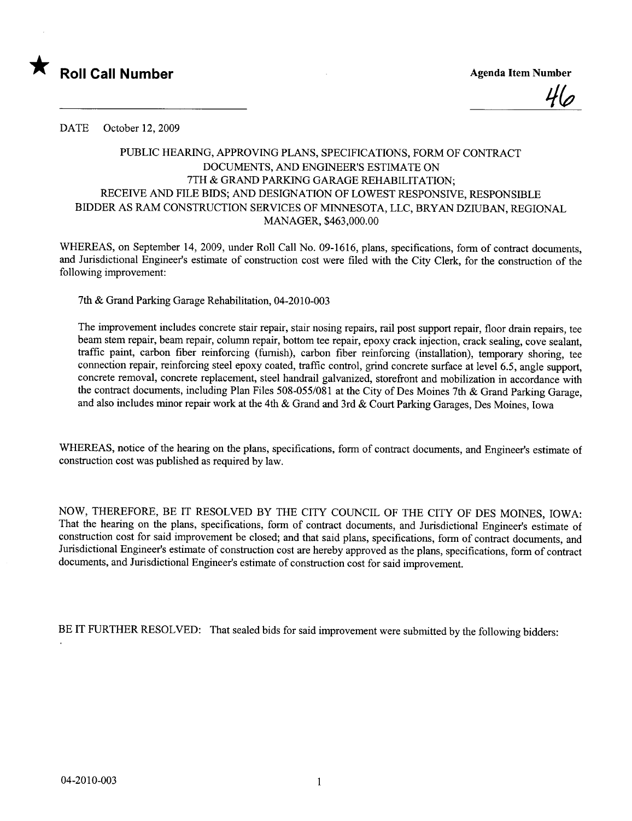

<u>46</u>

DATE October 12, 2009

## PUBLIC HEARING, APPROVING PLANS, SPECIFICATIONS, FORM OF CONTRACT DOCUMENTS, AND ENGINEER'S ESTIMATE ON 7TH & GRAND PARKING GARAGE REHABILITATION; RECEIVE AND FILE BIDS; AND DESIGNATION OF LOWEST RESPONSIVE, RESPONSIBLE BIDDER AS RAM CONSTRUCTION SERVICES OF MINESOTA, LLC, BRYAN DZIUBAN, REGIONAL MANAGER, \$463,000.00

WHEREAS, on September 14, 2009, under Roll Call No. 09-1616, plans, specifications, form of contract documents, and Jurisdictional Engineer's estimate of construction cost were filed with the City Clerk, for the construction of the following improvement:

7th & Grand Parking Garage Rehabilitation, 04-2010-003

The improvement includes concrete stair repair, stair nosing repairs, rail post support repair, floor drain repairs, tee beam stem repair, beam repair, column repair, bottom tee repair, epoxy crack injection, crack sealing, cove sealant, traffic paint, carbon fiber reinforcing (furnish), carbon fiber reinforcing (installation), temporary shoring, tee connection repair, reinforcing steel epoxy coated, traffic control, grind concrete surface at level 6.5, angle support, concrete removal, concrete replacement, steel handrail galvanized, storefront and mobilization in accordance with the contract documents, including Plan Files 508-055/081 at the City of Des Moines 7th & Grand Parking Garage, and also includes minor repair work at the 4th & Grand and 3rd & Court Parking Garages, Des Moines, Iowa

WHEREAS, notice of the hearing on the plans, specifications, form of contract documents, and Engineer's estimate of construction cost was published as required by law.

NOW, THEREFORE, BE IT RESOLVED BY THE CITY COUNCIL OF THE CITY OF DES MOINES, IOWA: That the hearing on the plans, specifications, form of contract documents, and Jurisdictional Engineer's estimate of construction cost for said improvement be closed; and that said plans, specifications, form of contract documents, and Jurisdictional Engineer's estimate of construction cost are hereby approved as the plans, specifications, form of contract documents, and Jurisdictional Engineer's estimate of construction cost for said improvement.

BE IT FURTHER RESOLVED: That sealed bids for said improvement were submitted by the following bidders: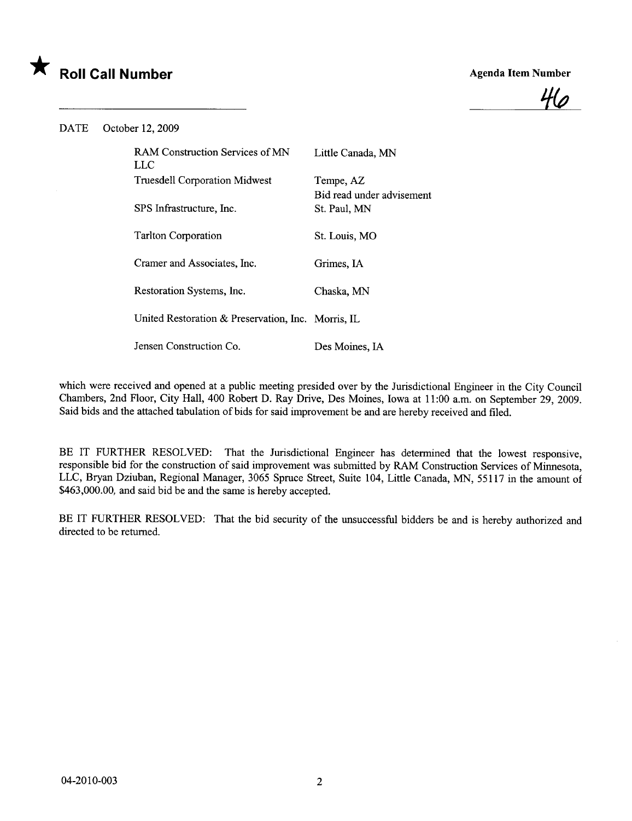



DATE October 12, 2009

| <b>RAM Construction Services of MN</b><br>LLC      | Little Canada, MN                         |
|----------------------------------------------------|-------------------------------------------|
| <b>Truesdell Corporation Midwest</b>               | Tempe, AZ                                 |
| SPS Infrastructure, Inc.                           | Bid read under advisement<br>St. Paul, MN |
| <b>Tarlton Corporation</b>                         | St. Louis, MO                             |
| Cramer and Associates, Inc.                        | Grimes, IA                                |
| Restoration Systems, Inc.                          | Chaska, MN                                |
| United Restoration & Preservation, Inc. Morris, IL |                                           |
| Jensen Construction Co.                            | Des Moines, IA                            |

which were received and opened at a public meeting presided over by the Jurisdictional Engineer in the City Council Chambers, 2nd Floor, City Hall, 400 Robert D. Ray Drive, Des Moines, Iowa at 11:00 a.m. on September 29, 2009. Said bids and the attached tabulation of bids for said improvement be and are hereby received and fied.

BE IT FURTHER RESOLVED: That the Jurisdictional Engineer has determined that the lowest responsive, responsible bid for the construction of said improvement was submitted by RAM Construction Services of Minnesota, LLC, Bryan Dziuban, Regional Manager, 3065 Spruce Street, Suite 104, Little Canada, MN, 55117 in the amount of \$463,000.00, and said bid be and the same is hereby accepted.

BE IT FURTHER RESOLVED: That the bid security of the unsuccessful bidders be and is hereby authorized and directed to be returned.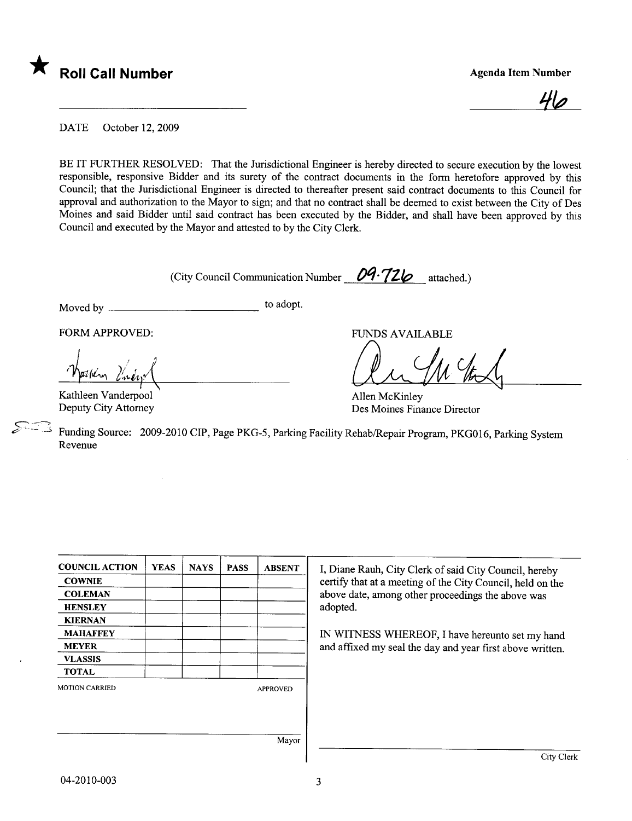

<u>40</u>

DATE October 12, 2009

BE IT FURTHER RESOLVED: That the Jurisdictional Engineer is hereby directed to secure execution by the lowest responsible, responsive Bidder and its surety of the contract documents in the form heretofore approved by this Council; that the Jurisdictional Engineer is directed to thereafter present said contract documents to this Council for approval and authorization to the Mayor to sign; and that no contract shall be deemed to exist between the City of Des Moines and said Bidder until said contract has been executed by the Bidder, and shall have been approved by this Council and executed by the Mayor and attested to by the City Clerk.

(City Council Communication Number  $09.726$  attached.)

Moved by to adopt.

FORM APPROVED: FUNDS AVAILABLE

-former lines which be the content of the form of the form of the content of the form of the content of the content of the content of the content of the content of the content of the content of the content of the content o

Allen McKinley Des Moines Finance Director

Kathleen Vanderpool Deputy City Attorney

Funding Source: 2009-2010 CIP, Page PKG-5, Parking Facility Rehab/Repair Program, PKG016, Parking System Revenue

| <b>COUNCIL ACTION</b> | <b>YEAS</b> | <b>NAYS</b> | <b>PASS</b> | <b>ABSENT</b>   |                                                            |
|-----------------------|-------------|-------------|-------------|-----------------|------------------------------------------------------------|
|                       |             |             |             |                 | I, Diane Rauh, City Clerk of said City Council, hereby     |
| <b>COWNIE</b>         |             |             |             |                 | certify that at a meeting of the City Council, held on the |
| <b>COLEMAN</b>        |             |             |             |                 | above date, among other proceedings the above was          |
| <b>HENSLEY</b>        |             |             |             |                 | adopted.                                                   |
| <b>KIERNAN</b>        |             |             |             |                 |                                                            |
| <b>MAHAFFEY</b>       |             |             |             |                 | IN WITNESS WHEREOF, I have hereunto set my hand            |
| <b>MEYER</b>          |             |             |             |                 | and affixed my seal the day and year first above written.  |
| <b>VLASSIS</b>        |             |             |             |                 |                                                            |
| <b>TOTAL</b>          |             |             |             |                 |                                                            |
| <b>MOTION CARRIED</b> |             |             |             | <b>APPROVED</b> |                                                            |
|                       |             |             |             |                 |                                                            |
|                       |             |             |             |                 |                                                            |
|                       |             |             |             | Mayor           |                                                            |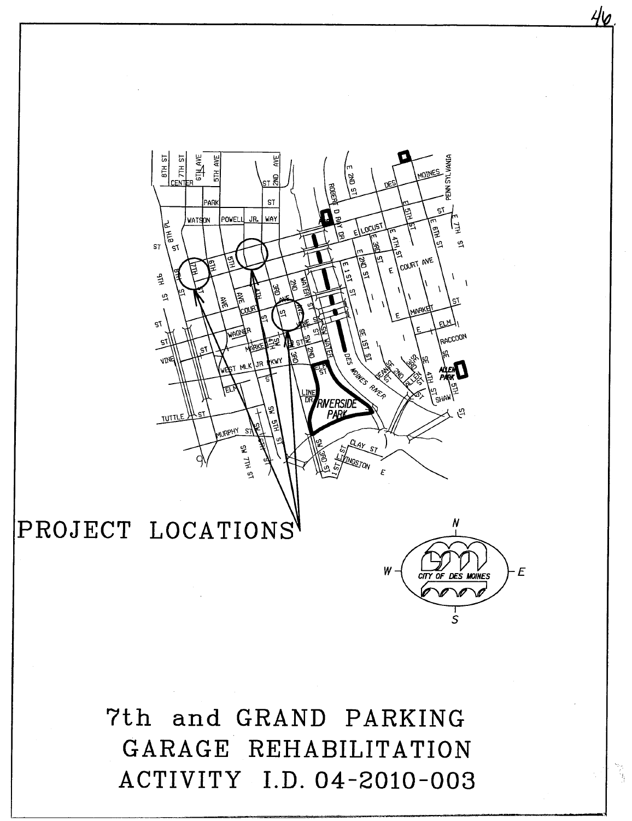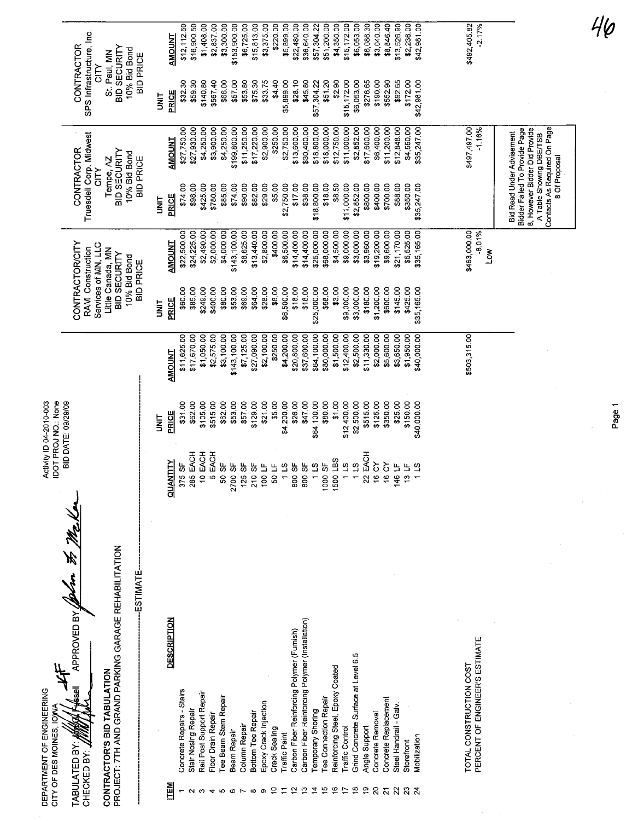| DEPARTMENT OF ENGINEERING<br>CITY OF DES MOINES, IOWA                                                                                                         |                                              | IDOT PROJ NO.: None<br>Activity ID 04-2010-003 |                           |                                                                                                                                                   |                           |                                                                                                                               |                            |                                                                                                                                 |                            |
|---------------------------------------------------------------------------------------------------------------------------------------------------------------|----------------------------------------------|------------------------------------------------|---------------------------|---------------------------------------------------------------------------------------------------------------------------------------------------|---------------------------|-------------------------------------------------------------------------------------------------------------------------------|----------------------------|---------------------------------------------------------------------------------------------------------------------------------|----------------------------|
| APPROVED BY WOLAND 35 Me K<br>PROJECT: 7TH AND GRAND PARKING GARAGE REHABILITATION<br>ESTIMATE<br>CONTRACTOR'S BID TABULATION<br>TABULATED BY:<br>CHECKED BY: |                                              | BID DATE: 09/29/09                             |                           | <b>CONTRACTOR/CITY</b><br>Services of MN, LLC<br><b>RAM Construction</b><br>Little Canada, MN<br>BID SECURITY<br>10% Bid Bond<br><b>BID PRICE</b> |                           | Truesdell Corp. Midwest<br>CONTRACTOR<br>BID SECURITY<br>10% Bid Bond<br><b>BID PRICE</b><br>Tempe, AZ<br><b>NLC</b>          |                            | SPS Infrastructure, Inc.<br><b>CONTRACTOR</b><br>BID SECURITY<br>10% Bid Bond<br>St. Paul, MN<br><b>BID PRICE</b><br><b>NID</b> |                            |
|                                                                                                                                                               |                                              | i<br>M                                         |                           | i<br>M                                                                                                                                            |                           | i<br>3                                                                                                                        |                            | i<br>M                                                                                                                          |                            |
| <b>DESCRIPTION</b><br>ITEM                                                                                                                                    | <b>ATINAUD</b>                               | PRICE                                          | AMOUNT                    | PRICE                                                                                                                                             | <b>AMOUNT</b>             | PRICE                                                                                                                         | <b>AMOUNT</b>              | PRICE                                                                                                                           | <b>AMOUNT</b>              |
| Concrete Repairs - Stairs                                                                                                                                     | 375 SF                                       | \$31.00                                        | \$11,625.00               | \$60.00                                                                                                                                           | \$22,500.00               | \$74.00                                                                                                                       | \$27,750.00                | \$32.30                                                                                                                         | \$12,112.50                |
| Stair Nosing Repair                                                                                                                                           | 285 EACH                                     | \$62.00                                        | \$17,670.00               | \$85.00                                                                                                                                           | \$24,225.00               | \$98.00                                                                                                                       | \$27,930.00                | \$59.30                                                                                                                         | \$16,900.50                |
| Rail Post Support Repair<br>Floor Drain Repair                                                                                                                | 10 EACH<br>5 EACH                            | \$105.00<br>\$515.00                           | \$1,050.00<br>\$2,575.00  | \$249.00<br>\$400.00                                                                                                                              | \$2,490.00<br>\$2,000.00  | \$780.00<br>\$425.00                                                                                                          | \$3,900.00<br>\$4,250.00   | \$140.80<br>\$567.40                                                                                                            | \$1,408.00                 |
| Tee Beam Stem Repair                                                                                                                                          | 50 SF                                        | \$62.00                                        | \$3,100.00                | \$80.00                                                                                                                                           | \$4,000.00                | \$85.00                                                                                                                       | \$4,250.00                 | \$66.00                                                                                                                         | \$2,837.00<br>\$3,300.00   |
| Beam Repair                                                                                                                                                   | 2700 SF                                      | \$53,00                                        | \$143,100.00              | \$53.00                                                                                                                                           | \$143,100.00              | \$74.00                                                                                                                       | \$199,800.00               | \$57.00                                                                                                                         | \$153,900.00               |
| Column Repair                                                                                                                                                 | 125 SF                                       | \$57.00                                        | \$7,125.00                | \$69.00                                                                                                                                           | \$8,625.00                | \$90.00                                                                                                                       | \$11,250.00                | \$53.80                                                                                                                         | \$6,725.00                 |
| <b>Bottom Tee Repair</b><br>$\infty$                                                                                                                          | 210 SF                                       | \$129.00                                       | \$27,090.00               | \$64.00                                                                                                                                           | \$13,440.00               | \$82.00                                                                                                                       | \$17 220.00                | \$75.30                                                                                                                         | \$15,813.00                |
| Epoxy Crack Injection<br>စ                                                                                                                                    | 100 LF                                       | \$21.00                                        | \$2,100.00                | \$28.00                                                                                                                                           | \$2,800.00                | \$29,00                                                                                                                       | \$2,900.00                 | \$33.75                                                                                                                         | \$3,375.00                 |
| Crack Sealing<br>$\epsilon$                                                                                                                                   | 50 LF                                        | \$5.00                                         | \$250.00                  | \$8.00                                                                                                                                            | \$400.00                  | \$5.00                                                                                                                        | \$250.00                   | \$4.40                                                                                                                          | \$220.00                   |
| Carbon Fiber Reinforcing Polymer (Furnish)<br><b>Traffic Paint</b><br>$\tilde{5}$                                                                             | 1 LS<br>800 SF                               | \$4,200.00<br>\$26.00                          | \$4,200.00<br>\$20,800.00 | \$6,500.00<br>\$18.00                                                                                                                             | \$6,500.00<br>\$14,400.00 | \$17.00<br>\$2,750.00                                                                                                         | \$2,750.00                 | \$5,899.00                                                                                                                      | \$5,899.00                 |
| Carbon Fiber Reinforcing Polymer (Installation)<br>္                                                                                                          | 800 SF                                       | \$47.00                                        | \$37,600.00               | \$18.00                                                                                                                                           | \$14,400.00               | \$38.00                                                                                                                       | \$13,600.00<br>\$30,400.00 | \$28.10<br>\$45.80                                                                                                              | \$36,640.00<br>\$22,480.00 |
| <b>Temporary Shoring</b><br>$\vec{r}$                                                                                                                         | $\tilde{\mathbf{c}}$<br>$\ddot{\phantom{0}}$ | \$64,100.00                                    | \$64,100.00               | \$25,000.00                                                                                                                                       | \$25,000.00               | \$18,800.00                                                                                                                   | \$18,800.00                | \$57,304.22                                                                                                                     | \$57,304.22                |
| <b>Tee Connection Repair</b><br>$\frac{5}{2}$                                                                                                                 | 1000 SF                                      | \$80.00                                        | \$80,000.00               | \$68.00                                                                                                                                           | \$68,000.00               | \$18.00                                                                                                                       | \$18,000.00                | \$51.20                                                                                                                         | \$51,200.00                |
| Reinforcing Steel, Epoxy Coated<br>$\frac{6}{5}$                                                                                                              | 500 LBS                                      | \$1.00                                         | \$1,500.00                | \$3.00                                                                                                                                            | \$4,500.00                | \$8.50                                                                                                                        | \$12,750.00                | \$2.90                                                                                                                          | \$4,350.00                 |
| Traffic Control<br>$\ddot{ }$                                                                                                                                 | $1\overline{1}$                              | \$12,400.00                                    | \$12,400.00               | \$9,000.00                                                                                                                                        | \$9,000.00                | \$11,000.00                                                                                                                   | \$11,000.00                | \$15,172.00                                                                                                                     | \$15,172.00                |
| Grind Concrete Surface at Level 6.5<br>$\frac{8}{10}$                                                                                                         | 115                                          | \$2,500.00                                     | \$2,500.00                | \$3,000.00                                                                                                                                        | \$3,000.00                | \$2,852.00                                                                                                                    | \$2,852.00                 | \$6,053.00                                                                                                                      | \$6,053.00                 |
| Angle Support<br>$\frac{5}{2}$<br>$\overline{c}$                                                                                                              | 22 EACH                                      | \$515.00                                       | \$11,330.00               | \$180.00                                                                                                                                          | \$3,960.00                | \$800.00                                                                                                                      | \$17,600.00                | \$276.65                                                                                                                        | \$6,086.30                 |
| Concrete Replacement<br>Concrete Removal<br>$\overline{2}$                                                                                                    | 16 CY<br>16 CY                               | \$125.00<br>\$350.00                           | \$2,000.00<br>\$5,600.00  | \$1,200.00<br>\$600.00                                                                                                                            | \$19,200.00<br>\$9,600.00 | \$400.00<br>\$700.00                                                                                                          | \$6,400.00<br>\$11,200.00  | \$190.00<br>\$552.90                                                                                                            | \$3,040.00<br>\$8,846.40   |
| Steel Handrail - Galv.<br>$\overline{2}$                                                                                                                      | 146 LF                                       | \$25.00                                        | \$3,650.00                | \$145.00                                                                                                                                          | \$21,170.00               |                                                                                                                               |                            |                                                                                                                                 |                            |
| Storefront                                                                                                                                                    | 13 LF                                        | \$150.00                                       | \$1,950.00                | \$425.00                                                                                                                                          | \$5,525.00                | \$88.00<br>\$350.00                                                                                                           | \$12,848.00<br>\$4,550.00  | \$92.65<br>\$172.00                                                                                                             | \$13,526.90<br>\$2,236.00  |
| Mobilization<br>$\frac{3}{2}$                                                                                                                                 | 1 LS                                         | \$40,000.00                                    | \$40,000.00               | \$35,165.00                                                                                                                                       | \$35,165.00               | \$35,247.00                                                                                                                   | \$35,247.00                | \$42,981.00                                                                                                                     | \$42,981.00                |
|                                                                                                                                                               |                                              |                                                |                           |                                                                                                                                                   |                           |                                                                                                                               |                            |                                                                                                                                 |                            |
| TOTAL CONSTRUCTION COST                                                                                                                                       |                                              |                                                | \$503,315.00              |                                                                                                                                                   | \$463,000.00              |                                                                                                                               | \$497,497.00               |                                                                                                                                 | \$492,405.82               |
| PERCENT OF ENGINEER'S ESTIMATE                                                                                                                                |                                              |                                                |                           |                                                                                                                                                   | $-8.01%$<br><b>No</b>     |                                                                                                                               | $-1.16%$                   |                                                                                                                                 | $-2.17%$                   |
|                                                                                                                                                               |                                              |                                                |                           |                                                                                                                                                   |                           | Bidder Failed To Provide Page<br>8, However Bidder Did Provide<br><b>Bid Read Under Advisement</b><br>A Table Showing DBE/TSB |                            |                                                                                                                                 |                            |
|                                                                                                                                                               |                                              |                                                |                           |                                                                                                                                                   |                           | Contacts As Required On Page<br>8 Of Proposal                                                                                 |                            |                                                                                                                                 |                            |

Page 1

 $\frac{1}{2}$ 

 $46$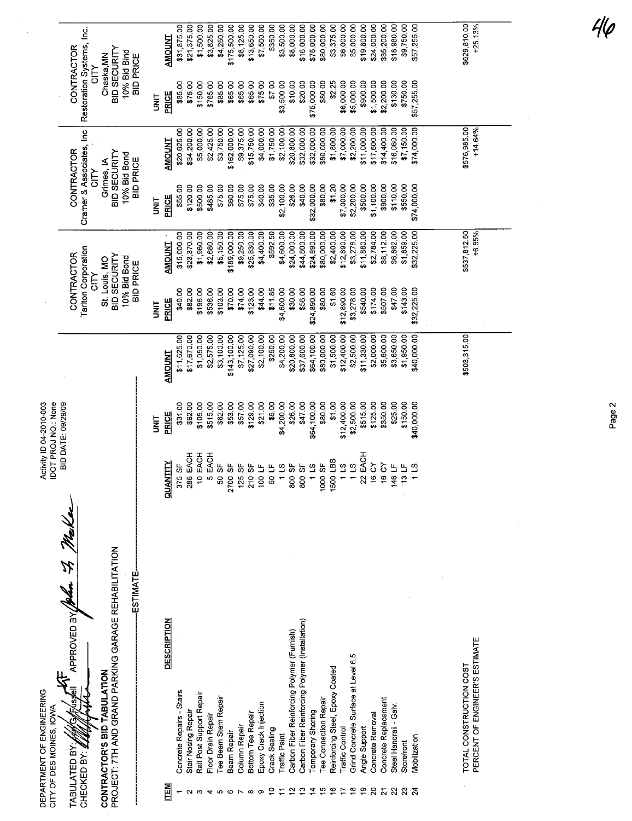|                                                       |                                                                                                                                                                                   |           | <b>AMOUNT</b>                    | \$31,875.00               | \$21,375.00         | \$1,500.00<br>\$3,825.00                       | \$4,250.00           | \$175,500.00       | \$8,125.00    | \$13,650.00                          | \$7,500.00            | \$350.00           | \$3,500.00           | \$8,000.00                                      | \$16,000.00                                          | \$75,000.00                    | \$80,000.00                                     | \$3,375.00                           | \$6,000.00      | \$5,000.00                                | \$19,800.00                    | \$24,000.00                        | \$35,200.00                            | \$18,980.00                                          | \$9,750.00                    | \$57,255.00  |  | \$629,810.00            | $+25.13%$                      |  |
|-------------------------------------------------------|-----------------------------------------------------------------------------------------------------------------------------------------------------------------------------------|-----------|----------------------------------|---------------------------|---------------------|------------------------------------------------|----------------------|--------------------|---------------|--------------------------------------|-----------------------|--------------------|----------------------|-------------------------------------------------|------------------------------------------------------|--------------------------------|-------------------------------------------------|--------------------------------------|-----------------|-------------------------------------------|--------------------------------|------------------------------------|----------------------------------------|------------------------------------------------------|-------------------------------|--------------|--|-------------------------|--------------------------------|--|
|                                                       | Restoration Systems, Inc.<br>CONTRACTOR<br>BID SECURITY<br>10% Bid Bind<br>Chaska, MN<br><b>BID PRICE</b><br><b>CITY</b>                                                          | m<br>M    | PRICE                            | \$85.00                   | \$75.00             | \$150.00<br>\$765.00                           | \$85.00              | \$65.00            | \$65.00       | \$65.00                              | \$75.00               | \$7.00             | \$3,500.00           | \$10.00                                         | \$20.00                                              | \$75,000.00                    | \$80.00                                         | \$2.25                               | \$6,000.00      | \$5,000.00                                | \$900.00                       | \$1,500.00                         | \$2,200.00                             | \$130.00                                             | \$750.00                      | \$57,255.00  |  |                         |                                |  |
|                                                       | Cramer & Associates, Inc<br><b>CONTRACTOR</b><br>BID SECURITY<br>10% Bid Bond<br><b>BID PRICE</b><br>Grimes, IA<br><b>NLC</b>                                                     |           | <b>AMOUNT</b>                    | \$20,625.00               | \$34,200.00         | \$5,000.00<br>\$2,425.00                       | \$3,750.00           | \$162,000.00       | \$9,375.00    | \$15,750.00                          | \$4,000.00            | \$1,750.00         | \$2,100.00           | \$20,800.00                                     | \$32,000.00                                          | \$32,000.00                    | \$80,000.00                                     | \$1,800.00                           | \$7,000.00      | \$2,200.00                                | \$11,000.00                    | \$17,600.00                        | \$14,400.00                            | \$16,060.00                                          | \$7,150.00                    | \$74,000.00  |  | \$576,985.00            | $+14.64%$                      |  |
|                                                       |                                                                                                                                                                                   | <b>SE</b> | PRICE                            | \$55.00                   | \$120.00            | \$500.00<br>\$485.00                           | \$75.00              | \$60.00            | \$75.00       | \$75.00                              | \$40.00               | \$35.00            | \$2,100.00           | \$26.00                                         | \$40.00                                              | \$32,000.00                    | \$80.00                                         | \$1.20                               | \$7,000.00      | \$2,200.00                                | \$500.00                       | \$1,100.00                         | \$900.00                               | \$110.00                                             | \$550.00                      | \$74,000.00  |  |                         |                                |  |
|                                                       | <b>Tariton Corporation</b><br><b>CONTRACTOR</b><br>10% Bid Bond<br>St. Louis, MO<br><b>BID PRICE</b><br><b>NLC</b>                                                                |           | <b>AMOUNT</b>                    | \$15,000.00               | \$23,370.00         | \$1,960.00<br>\$2,680.00                       | \$5,150.00           | \$189,000.00       | \$9,250.00    | \$25,830.00                          | \$4,400.00            | \$592.50           | \$4,600.00           | \$24,000.00                                     | \$44,800.00                                          | \$24,890.00                    | \$80,000.00                                     | \$2,400.00                           | \$12,890.00     | \$3,278.00                                | \$11,880.00                    | \$2,784.00                         | \$8,112.00                             | \$6,862.00                                           | \$1,859.00                    | \$32,225.00  |  | \$537,812.50            | +6.85%                         |  |
|                                                       | BID SECURITY                                                                                                                                                                      | i<br>N    | PRICE                            | \$40.00                   | \$82.00             | \$196.00<br>\$536.00                           | \$103.00             | \$70.00            | \$74.00       | \$123.00                             | \$44.00               | \$11.85            | \$4,600.00           | \$30.00                                         | \$56.00                                              | \$24,890.00                    | \$80.00                                         | \$1.60                               | \$12,890.00     | \$3,278.00                                | \$540.00                       | \$174.00                           | \$507.00                               | \$47.00                                              | \$143.00                      | \$32,225.00  |  |                         |                                |  |
|                                                       |                                                                                                                                                                                   |           | <b>AMOUNT</b>                    | \$11,625.00               | \$17,670.00         | \$2,575.00<br>\$1,050.00                       | \$3,100.00           | \$143,100.00       | \$7,125.00    | \$27,090.00                          | \$2,100.00            | \$250.00           | \$4,200.00           | \$20,800.00                                     | \$37,600.00                                          | \$64,100.00                    | \$80,000.00                                     | \$1,500.00                           | \$12,400.00     | \$2,500.00                                | \$11,330.00                    | \$2,000.00                         | \$5,600.00                             | \$3,650.00                                           | \$1,950.00                    | \$40,000.00  |  | \$503,315.00            |                                |  |
| IDOT PROJ NO.: None<br>Activity ID 04-2010-003        | BID DATE: 09/29/09                                                                                                                                                                | i<br>N    | PRICE                            | \$31.00                   | \$62.00             | \$105.00<br>\$515.00                           | \$62.00              | \$53.00            | \$57.00       | \$129.00                             | \$21.00               | \$5.00             | \$4,200.00           | \$26.00                                         | \$47.00                                              | \$64,100.00                    | \$80,00                                         | \$1,00                               | \$12,400.00     | \$2,500.00                                | \$515.00                       | \$125.00                           | \$350.00                               | \$25.00                                              | \$150.00                      | \$40,000.00  |  |                         |                                |  |
|                                                       |                                                                                                                                                                                   |           | <b>QUANTITY</b>                  | 355<br>57                 | 5 EACH<br>$\approx$ | 10 EACH<br>EACH<br>ю                           | 5<br>SO <sub>1</sub> | ပ္တ<br>2700        | 9F<br>125     | 10.5F<br>$\frac{1}{2}$               | 100 LF                | 50 LF              | 11S                  | 800 SF                                          | 5F<br>800                                            | $\overline{a}$<br>$\leftarrow$ | တ်<br>တ<br>1000                                 | 1500 LBS                             | 115             |                                           | EACH<br>S.                     | δ<br>$\overline{6}$                | δ<br>ë                                 | 16 LF<br>÷                                           | $\mathbf{u}$<br>$\frac{1}{2}$ | ്വ           |  |                         |                                |  |
| DEPARTMENT OF ENGINEERING<br>CITY OF DES MOINES, IOWA | II. Hail<br>CONTRACTOR'S BID TABULATION<br>PROJECT: 7TH AND GRAND PARKING GARAGE REHABILITATION<br><b>ESTIMATE</b><br>APPROVED BY<br>ussel<br>TABULATED BY:<br>CHECKED BY: $\ell$ |           | <b>DESCRIPTION</b><br><b>NEN</b> | Concrete Repairs - Stairs | Stair Nosing Repair | Rail Post Support Repair<br>Floor Drain Repair | Tee Beam Stem Repair | <b>Beam Repair</b> | Column Repair | <b>Bottom Tee Repair</b><br>$\infty$ | Epoxy Crack Injection | Crack Sealing<br>≘ | <b>Traffic Paint</b> | Carbon Fiber Reinforcing Polymer (Furnish)<br>≌ | Carbon Fiber Reinforcing Polymer (Installation)<br>ౖ | Temporary Shoring              | <b>Tee Connection Repair</b><br>$\overline{15}$ | Reinforcing Steel, Epoxy Coated<br>9 | Traffic Control | Grind Concrete Surface at Level 6.5<br>ဇ္ | Angle Support<br>$\frac{6}{5}$ | Concrete Removal<br>$\overline{c}$ | Concrete Replacement<br>$\overline{a}$ | Steel Handrail - Galv.<br>$\boldsymbol{\mathcal{Z}}$ | Storefront<br>$\mathbf{S}^2$  | Mobilization |  | TOTAL CONSTRUCTION COST | PERCENT OF ENGINEER'S ESTIMATE |  |

Page 2

 $46$